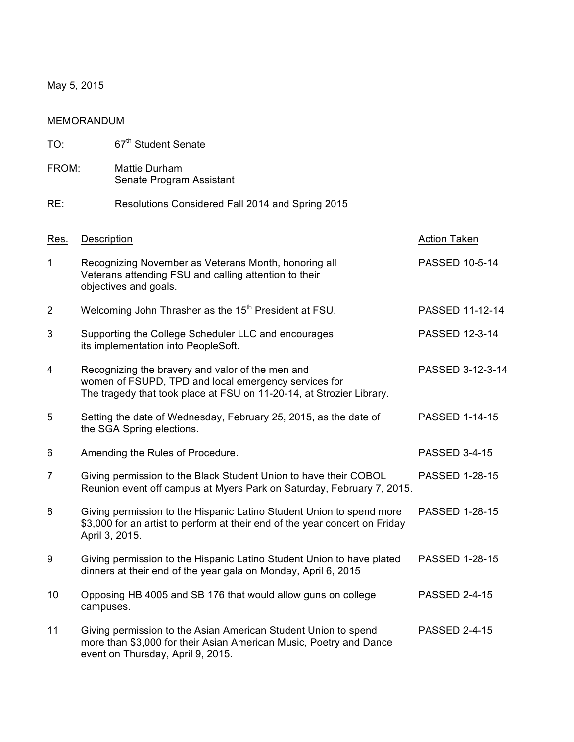May 5, 2015

| <b>MEMORANDUM</b> |                                                                                                                                        |                                                                                                                                                                                  |                       |  |
|-------------------|----------------------------------------------------------------------------------------------------------------------------------------|----------------------------------------------------------------------------------------------------------------------------------------------------------------------------------|-----------------------|--|
| TO:               |                                                                                                                                        | 67 <sup>th</sup> Student Senate                                                                                                                                                  |                       |  |
| FROM:             |                                                                                                                                        | <b>Mattie Durham</b><br>Senate Program Assistant                                                                                                                                 |                       |  |
| RE:               |                                                                                                                                        | Resolutions Considered Fall 2014 and Spring 2015                                                                                                                                 |                       |  |
| Res.              | <b>Description</b>                                                                                                                     |                                                                                                                                                                                  | <b>Action Taken</b>   |  |
| 1                 | Recognizing November as Veterans Month, honoring all<br>Veterans attending FSU and calling attention to their<br>objectives and goals. |                                                                                                                                                                                  | <b>PASSED 10-5-14</b> |  |
| $\overline{2}$    |                                                                                                                                        | Welcoming John Thrasher as the 15 <sup>th</sup> President at FSU.                                                                                                                | PASSED 11-12-14       |  |
| 3                 |                                                                                                                                        | Supporting the College Scheduler LLC and encourages<br>its implementation into PeopleSoft.                                                                                       | <b>PASSED 12-3-14</b> |  |
| 4                 |                                                                                                                                        | Recognizing the bravery and valor of the men and<br>women of FSUPD, TPD and local emergency services for<br>The tragedy that took place at FSU on 11-20-14, at Strozier Library. | PASSED 3-12-3-14      |  |
| 5                 |                                                                                                                                        | Setting the date of Wednesday, February 25, 2015, as the date of<br>the SGA Spring elections.                                                                                    | <b>PASSED 1-14-15</b> |  |
| 6                 |                                                                                                                                        | Amending the Rules of Procedure.                                                                                                                                                 | <b>PASSED 3-4-15</b>  |  |
| 7                 |                                                                                                                                        | Giving permission to the Black Student Union to have their COBOL<br>Reunion event off campus at Myers Park on Saturday, February 7, 2015.                                        | <b>PASSED 1-28-15</b> |  |
| 8                 | April 3, 2015.                                                                                                                         | Giving permission to the Hispanic Latino Student Union to spend more<br>\$3,000 for an artist to perform at their end of the year concert on Friday                              | <b>PASSED 1-28-15</b> |  |
| 9                 |                                                                                                                                        | Giving permission to the Hispanic Latino Student Union to have plated<br>dinners at their end of the year gala on Monday, April 6, 2015                                          | <b>PASSED 1-28-15</b> |  |
| 10                | campuses.                                                                                                                              | Opposing HB 4005 and SB 176 that would allow guns on college                                                                                                                     | <b>PASSED 2-4-15</b>  |  |
| 11                |                                                                                                                                        | Giving permission to the Asian American Student Union to spend<br>more than \$3,000 for their Asian American Music, Poetry and Dance<br>event on Thursday, April 9, 2015.        | <b>PASSED 2-4-15</b>  |  |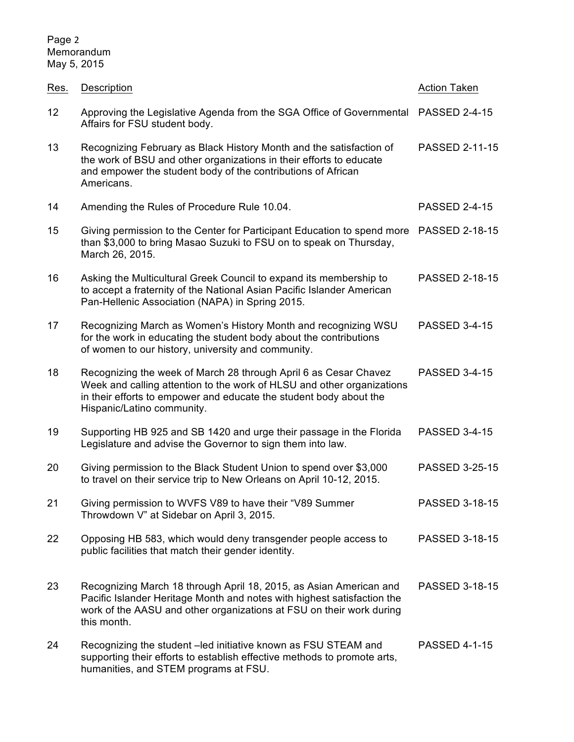| Res. | Description                                                                                                                                                                                                                                    | <b>Action Taken</b>   |
|------|------------------------------------------------------------------------------------------------------------------------------------------------------------------------------------------------------------------------------------------------|-----------------------|
| 12   | Approving the Legislative Agenda from the SGA Office of Governmental<br>Affairs for FSU student body.                                                                                                                                          | <b>PASSED 2-4-15</b>  |
| 13   | Recognizing February as Black History Month and the satisfaction of<br>the work of BSU and other organizations in their efforts to educate<br>and empower the student body of the contributions of African<br>Americans.                       | <b>PASSED 2-11-15</b> |
| 14   | Amending the Rules of Procedure Rule 10.04.                                                                                                                                                                                                    | <b>PASSED 2-4-15</b>  |
| 15   | Giving permission to the Center for Participant Education to spend more<br>than \$3,000 to bring Masao Suzuki to FSU on to speak on Thursday,<br>March 26, 2015.                                                                               | <b>PASSED 2-18-15</b> |
| 16   | Asking the Multicultural Greek Council to expand its membership to<br>to accept a fraternity of the National Asian Pacific Islander American<br>Pan-Hellenic Association (NAPA) in Spring 2015.                                                | <b>PASSED 2-18-15</b> |
| 17   | Recognizing March as Women's History Month and recognizing WSU<br>for the work in educating the student body about the contributions<br>of women to our history, university and community.                                                     | <b>PASSED 3-4-15</b>  |
| 18   | Recognizing the week of March 28 through April 6 as Cesar Chavez<br>Week and calling attention to the work of HLSU and other organizations<br>in their efforts to empower and educate the student body about the<br>Hispanic/Latino community. | <b>PASSED 3-4-15</b>  |
| 19   | Supporting HB 925 and SB 1420 and urge their passage in the Florida<br>Legislature and advise the Governor to sign them into law.                                                                                                              | <b>PASSED 3-4-15</b>  |
| 20   | Giving permission to the Black Student Union to spend over \$3,000<br>to travel on their service trip to New Orleans on April 10-12, 2015.                                                                                                     | <b>PASSED 3-25-15</b> |
| 21   | Giving permission to WVFS V89 to have their "V89 Summer<br>Throwdown V" at Sidebar on April 3, 2015.                                                                                                                                           | PASSED 3-18-15        |
| 22   | Opposing HB 583, which would deny transgender people access to<br>public facilities that match their gender identity.                                                                                                                          | PASSED 3-18-15        |
| 23   | Recognizing March 18 through April 18, 2015, as Asian American and<br>Pacific Islander Heritage Month and notes with highest satisfaction the<br>work of the AASU and other organizations at FSU on their work during<br>this month.           | PASSED 3-18-15        |
| 24   | Recognizing the student - led initiative known as FSU STEAM and<br>supporting their efforts to establish effective methods to promote arts,<br>humanities, and STEM programs at FSU.                                                           | <b>PASSED 4-1-15</b>  |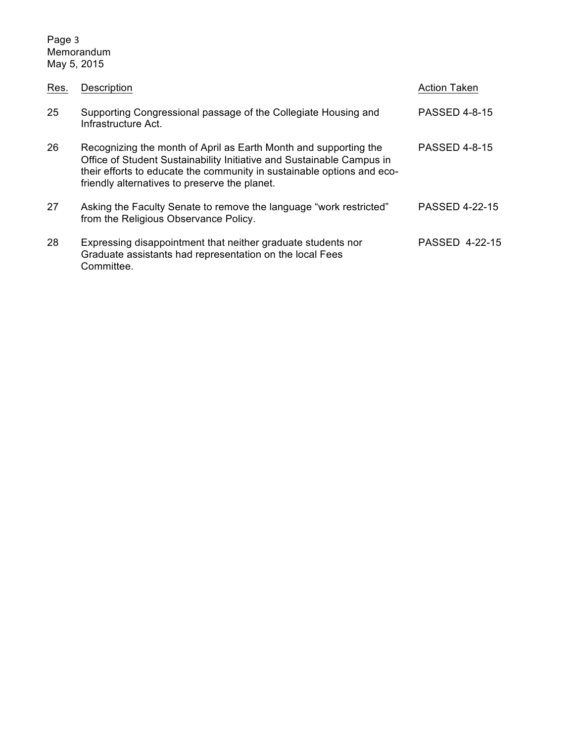Page 3 Memorandum May 5, 2015

| Res. | Description                                                                                                                                                                                                                                                          | <b>Action Taken</b>   |
|------|----------------------------------------------------------------------------------------------------------------------------------------------------------------------------------------------------------------------------------------------------------------------|-----------------------|
| 25   | Supporting Congressional passage of the Collegiate Housing and<br>Infrastructure Act.                                                                                                                                                                                | <b>PASSED 4-8-15</b>  |
| 26   | Recognizing the month of April as Earth Month and supporting the<br>Office of Student Sustainability Initiative and Sustainable Campus in<br>their efforts to educate the community in sustainable options and eco-<br>friendly alternatives to preserve the planet. | <b>PASSED 4-8-15</b>  |
| 27   | Asking the Faculty Senate to remove the language "work restricted"<br>from the Religious Observance Policy.                                                                                                                                                          | <b>PASSED 4-22-15</b> |
| 28   | Expressing disappointment that neither graduate students nor<br>Graduate assistants had representation on the local Fees<br>Committee.                                                                                                                               | <b>PASSED 4-22-15</b> |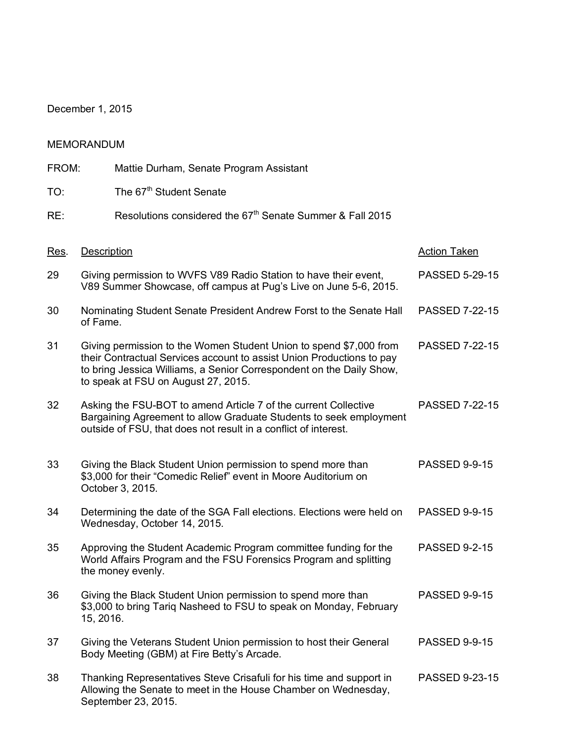December 1, 2015

|       | <b>MEMORANDUM</b> |                                                                                                                                                                                                                                                            |                       |
|-------|-------------------|------------------------------------------------------------------------------------------------------------------------------------------------------------------------------------------------------------------------------------------------------------|-----------------------|
| FROM: |                   | Mattie Durham, Senate Program Assistant                                                                                                                                                                                                                    |                       |
| TO:   |                   | The 67 <sup>th</sup> Student Senate                                                                                                                                                                                                                        |                       |
| RE:   |                   | Resolutions considered the 67 <sup>th</sup> Senate Summer & Fall 2015                                                                                                                                                                                      |                       |
| Res.  | Description       |                                                                                                                                                                                                                                                            | <b>Action Taken</b>   |
| 29    |                   | Giving permission to WVFS V89 Radio Station to have their event,<br>V89 Summer Showcase, off campus at Pug's Live on June 5-6, 2015.                                                                                                                       | PASSED 5-29-15        |
| 30    | of Fame.          | Nominating Student Senate President Andrew Forst to the Senate Hall                                                                                                                                                                                        | <b>PASSED 7-22-15</b> |
| 31    |                   | Giving permission to the Women Student Union to spend \$7,000 from<br>their Contractual Services account to assist Union Productions to pay<br>to bring Jessica Williams, a Senior Correspondent on the Daily Show,<br>to speak at FSU on August 27, 2015. | PASSED 7-22-15        |
| 32    |                   | Asking the FSU-BOT to amend Article 7 of the current Collective<br>Bargaining Agreement to allow Graduate Students to seek employment<br>outside of FSU, that does not result in a conflict of interest.                                                   | <b>PASSED 7-22-15</b> |
| 33    |                   | Giving the Black Student Union permission to spend more than<br>\$3,000 for their "Comedic Relief" event in Moore Auditorium on<br>October 3, 2015.                                                                                                        | <b>PASSED 9-9-15</b>  |
| 34    |                   | Determining the date of the SGA Fall elections. Elections were held on<br>Wednesday, October 14, 2015.                                                                                                                                                     | <b>PASSED 9-9-15</b>  |
| 35    |                   | Approving the Student Academic Program committee funding for the<br>World Affairs Program and the FSU Forensics Program and splitting<br>the money evenly.                                                                                                 | <b>PASSED 9-2-15</b>  |
| 36    | 15, 2016.         | Giving the Black Student Union permission to spend more than<br>\$3,000 to bring Tariq Nasheed to FSU to speak on Monday, February                                                                                                                         | <b>PASSED 9-9-15</b>  |
| 37    |                   | Giving the Veterans Student Union permission to host their General<br>Body Meeting (GBM) at Fire Betty's Arcade.                                                                                                                                           | <b>PASSED 9-9-15</b>  |

38 Thanking Representatives Steve Crisafuli for his time and support in PASSED 9-23-15 Allowing the Senate to meet in the House Chamber on Wednesday, September 23, 2015.